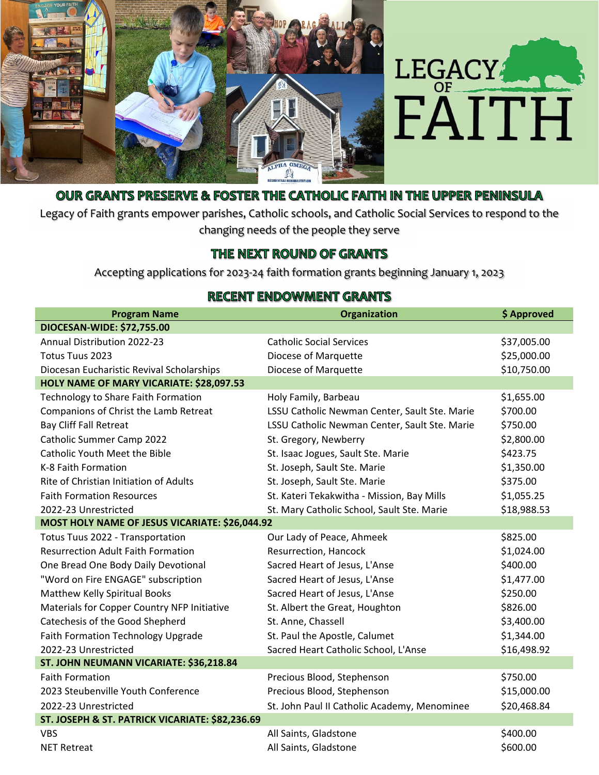



## OUR GRANTS PRESERVE & FOSTER THE CATHOLIC FAITH IN THE UPPER PENINSULA

Legacy of Faith grants empower parishes, Catholic schools, and Catholic Social Services to respond to the changing needs of the people they serve

## THE NEXT ROUND OF GRANTS

Accepting applications for 2023‐24 faith formation grants beginning January 1, 2023

## **RECENT ENDOWMENT GRANTS**

| <b>Program Name</b>                             | <b>Organization</b>                           | \$ Approved |  |
|-------------------------------------------------|-----------------------------------------------|-------------|--|
| DIOCESAN-WIDE: \$72,755.00                      |                                               |             |  |
| <b>Annual Distribution 2022-23</b>              | <b>Catholic Social Services</b>               | \$37,005.00 |  |
| Totus Tuus 2023                                 | Diocese of Marquette                          | \$25,000.00 |  |
| Diocesan Eucharistic Revival Scholarships       | Diocese of Marquette                          | \$10,750.00 |  |
| HOLY NAME OF MARY VICARIATE: \$28,097.53        |                                               |             |  |
| Technology to Share Faith Formation             | Holy Family, Barbeau                          | \$1,655.00  |  |
| Companions of Christ the Lamb Retreat           | LSSU Catholic Newman Center, Sault Ste. Marie | \$700.00    |  |
| <b>Bay Cliff Fall Retreat</b>                   | LSSU Catholic Newman Center, Sault Ste. Marie | \$750.00    |  |
| Catholic Summer Camp 2022                       | St. Gregory, Newberry                         | \$2,800.00  |  |
| Catholic Youth Meet the Bible                   | St. Isaac Jogues, Sault Ste. Marie            | \$423.75    |  |
| K-8 Faith Formation                             | St. Joseph, Sault Ste. Marie                  | \$1,350.00  |  |
| Rite of Christian Initiation of Adults          | St. Joseph, Sault Ste. Marie                  | \$375.00    |  |
| <b>Faith Formation Resources</b>                | St. Kateri Tekakwitha - Mission, Bay Mills    | \$1,055.25  |  |
| 2022-23 Unrestricted                            | St. Mary Catholic School, Sault Ste. Marie    | \$18,988.53 |  |
| MOST HOLY NAME OF JESUS VICARIATE: \$26,044.92  |                                               |             |  |
| Totus Tuus 2022 - Transportation                | Our Lady of Peace, Ahmeek                     | \$825.00    |  |
| <b>Resurrection Adult Faith Formation</b>       | Resurrection, Hancock                         | \$1,024.00  |  |
| One Bread One Body Daily Devotional             | Sacred Heart of Jesus, L'Anse                 | \$400.00    |  |
| "Word on Fire ENGAGE" subscription              | Sacred Heart of Jesus, L'Anse                 | \$1,477.00  |  |
| Matthew Kelly Spiritual Books                   | Sacred Heart of Jesus, L'Anse                 | \$250.00    |  |
| Materials for Copper Country NFP Initiative     | St. Albert the Great, Houghton                | \$826.00    |  |
| Catechesis of the Good Shepherd                 | St. Anne, Chassell                            | \$3,400.00  |  |
| Faith Formation Technology Upgrade              | St. Paul the Apostle, Calumet                 | \$1,344.00  |  |
| 2022-23 Unrestricted                            | Sacred Heart Catholic School, L'Anse          | \$16,498.92 |  |
| ST. JOHN NEUMANN VICARIATE: \$36,218.84         |                                               |             |  |
| <b>Faith Formation</b>                          | Precious Blood, Stephenson                    | \$750.00    |  |
| 2023 Steubenville Youth Conference              | Precious Blood, Stephenson                    | \$15,000.00 |  |
| 2022-23 Unrestricted                            | St. John Paul II Catholic Academy, Menominee  | \$20,468.84 |  |
| ST. JOSEPH & ST. PATRICK VICARIATE: \$82,236.69 |                                               |             |  |
| <b>VBS</b>                                      | All Saints, Gladstone                         | \$400.00    |  |
| <b>NET Retreat</b>                              | All Saints, Gladstone                         | \$600.00    |  |